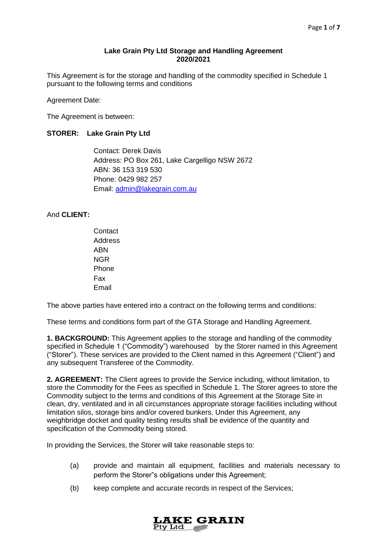### **Lake Grain Pty Ltd Storage and Handling Agreement 2020/2021**

This Agreement is for the storage and handling of the commodity specified in Schedule 1 pursuant to the following terms and conditions

Agreement Date:

The Agreement is between:

### **STORER: Lake Grain Pty Ltd**

Contact: Derek Davis Address: PO Box 261, Lake Cargelligo NSW 2672 ABN: 36 153 319 530 Phone: 0429 982 257 Email: [admin@lakegrain.com.au](mailto:admin@lakegrain.com.au)

### And **CLIENT:**

**Contact Address** ABN NGR Phone Fax Email

The above parties have entered into a contract on the following terms and conditions:

These terms and conditions form part of the GTA Storage and Handling Agreement.

**1. BACKGROUND:** This Agreement applies to the storage and handling of the commodity specified in Schedule 1 ("Commodity") warehoused by the Storer named in this Agreement ("Storer"). These services are provided to the Client named in this Agreement ("Client") and any subsequent Transferee of the Commodity.

**2. AGREEMENT:** The Client agrees to provide the Service including, without limitation, to store the Commodity for the Fees as specified in Schedule 1. The Storer agrees to store the Commodity subject to the terms and conditions of this Agreement at the Storage Site in clean, dry, ventilated and in all circumstances appropriate storage facilities including without limitation silos, storage bins and/or covered bunkers. Under this Agreement, any weighbridge docket and quality testing results shall be evidence of the quantity and specification of the Commodity being stored.

In providing the Services, the Storer will take reasonable steps to:

- (a) provide and maintain all equipment, facilities and materials necessary to perform the Storer"s obligations under this Agreement;
- (b) keep complete and accurate records in respect of the Services;

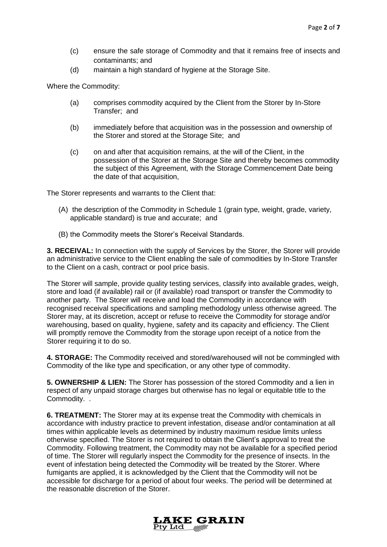- (c) ensure the safe storage of Commodity and that it remains free of insects and contaminants; and
- (d) maintain a high standard of hygiene at the Storage Site.

Where the Commodity:

- (a) comprises commodity acquired by the Client from the Storer by In-Store Transfer; and
- (b) immediately before that acquisition was in the possession and ownership of the Storer and stored at the Storage Site; and
- (c) on and after that acquisition remains, at the will of the Client, in the possession of the Storer at the Storage Site and thereby becomes commodity the subject of this Agreement, with the Storage Commencement Date being the date of that acquisition,

The Storer represents and warrants to the Client that:

- (A) the description of the Commodity in Schedule 1 (grain type, weight, grade, variety, applicable standard) is true and accurate; and
- (B) the Commodity meets the Storer's Receival Standards.

**3. RECEIVAL:** In connection with the supply of Services by the Storer, the Storer will provide an administrative service to the Client enabling the sale of commodities by In-Store Transfer to the Client on a cash, contract or pool price basis.

The Storer will sample, provide quality testing services, classify into available grades, weigh, store and load (if available) rail or (if available) road transport or transfer the Commodity to another party. The Storer will receive and load the Commodity in accordance with recognised receival specifications and sampling methodology unless otherwise agreed. The Storer may, at its discretion, accept or refuse to receive the Commodity for storage and/or warehousing, based on quality, hygiene, safety and its capacity and efficiency. The Client will promptly remove the Commodity from the storage upon receipt of a notice from the Storer requiring it to do so.

**4. STORAGE:** The Commodity received and stored/warehoused will not be commingled with Commodity of the like type and specification, or any other type of commodity.

**5. OWNERSHIP & LIEN:** The Storer has possession of the stored Commodity and a lien in respect of any unpaid storage charges but otherwise has no legal or equitable title to the Commodity. .

**6. TREATMENT:** The Storer may at its expense treat the Commodity with chemicals in accordance with industry practice to prevent infestation, disease and/or contamination at all times within applicable levels as determined by industry maximum residue limits unless otherwise specified. The Storer is not required to obtain the Client's approval to treat the Commodity. Following treatment, the Commodity may not be available for a specified period of time. The Storer will regularly inspect the Commodity for the presence of insects. In the event of infestation being detected the Commodity will be treated by the Storer. Where fumigants are applied, it is acknowledged by the Client that the Commodity will not be accessible for discharge for a period of about four weeks. The period will be determined at the reasonable discretion of the Storer.

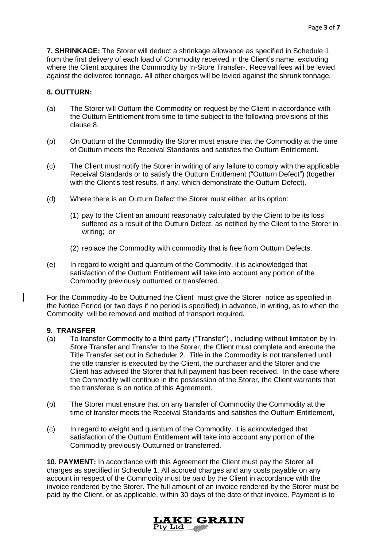**7. SHRINKAGE:** The Storer will deduct a shrinkage allowance as specified in Schedule 1 from the first delivery of each load of Commodity received in the Client's name, excluding where the Client acquires the Commodity by In-Store Transfer-. Receival fees will be levied against the delivered tonnage. All other charges will be levied against the shrunk tonnage.

### **8. OUTTURN:**

- (a) The Storer will Outturn the Commodity on request by the Client in accordance with the Outturn Entitlement from time to time subject to the following provisions of this clause 8.
- (b) On Outturn of the Commodity the Storer must ensure that the Commodity at the time of Outturn meets the Receival Standards and satisfies the Outturn Entitlement.
- (c) The Client must notify the Storer in writing of any failure to comply with the applicable Receival Standards or to satisfy the Outturn Entitlement ("Outturn Defect") (together with the Client's test results, if any, which demonstrate the Outturn Defect).
- (d) Where there is an Outturn Defect the Storer must either, at its option:
	- (1) pay to the Client an amount reasonably calculated by the Client to be its loss suffered as a result of the Outturn Defect, as notified by the Client to the Storer in writing; or
	- (2) replace the Commodity with commodity that is free from Outturn Defects.
- (e) In regard to weight and quantum of the Commodity, it is acknowledged that satisfaction of the Outturn Entitlement will take into account any portion of the Commodity previously outturned or transferred.

For the Commodity -to be Outturned the Client must give the Storer notice as specified in the Notice Period (or two days if no period is specified) in advance, in writing, as to when the Commodity will be removed and method of transport required.

### **9. TRANSFER**

- (a) To transfer Commodity to a third party ("Transfer") , including without limitation by In-Store Transfer and Transfer to the Storer, the Client must complete and execute the Title Transfer set out in Scheduler 2. Title in the Commodity is not transferred until the title transfer is executed by the Client, the purchaser and the Storer and the Client has advised the Storer that full payment has been received. In the case where the Commodity will continue in the possession of the Storer, the Client warrants that the transferee is on notice of this Agreement.
- (b) The Storer must ensure that on any transfer of Commodity the Commodity at the time of transfer meets the Receival Standards and satisfies the Outturn Entitlement,
- (c) In regard to weight and quantum of the Commodity, it is acknowledged that satisfaction of the Outturn Entitlement will take into account any portion of the Commodity previously Outturned or transferred.

**10. PAYMENT:** In accordance with this Agreement the Client must pay the Storer all charges as specified in Schedule 1. All accrued charges and any costs payable on any account in respect of the Commodity must be paid by the Client in accordance with the invoice rendered by the Storer. The full amount of an invoice rendered by the Storer must be paid by the Client, or as applicable, within 30 days of the date of that invoice. Payment is to

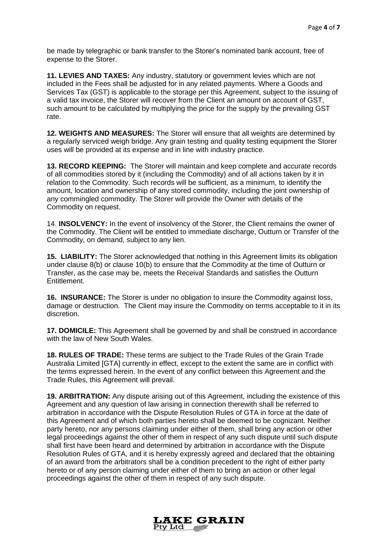be made by telegraphic or bank transfer to the Storer's nominated bank account, free of expense to the Storer.

**11. LEVIES AND TAXES:** Any industry, statutory or government levies which are not included in the Fees shall be adjusted for in any related payments. Where a Goods and Services Tax (GST) is applicable to the storage per this Agreement, subject to the issuing of a valid tax invoice, the Storer will recover from the Client an amount on account of GST, such amount to be calculated by multiplying the price for the supply by the prevailing GST rate.

**12. WEIGHTS AND MEASURES:** The Storer will ensure that all weights are determined by a regularly serviced weigh bridge. Any grain testing and quality testing equipment the Storer uses will be provided at its expense and in line with industry practice.

**13. RECORD KEEPING:** The Storer will maintain and keep complete and accurate records of all commodities stored by it (including the Commodity) and of all actions taken by it in relation to the Commodity. Such records will be sufficient, as a minimum, to identify the amount, location and ownership of any stored commodity, including the joint ownership of any commingled commodity. The Storer will provide the Owner with details of the Commodity on request.

14. **INSOLVENCY:** In the event of insolvency of the Storer, the Client remains the owner of the Commodity. The Client will be entitled to immediate discharge, Outturn or Transfer of the Commodity, on demand, subject to any lien.

**15. LIABILITY:** The Storer acknowledged that nothing in this Agreement limits its obligation under clause 8(b) or clause 10(b) to ensure that the Commodity at the time of Outturn or Transfer, as the case may be, meets the Receival Standards and satisfies the Outturn Entitlement.

**16. INSURANCE:** The Storer is under no obligation to insure the Commodity against loss, damage or destruction. The Client may insure the Commodity on terms acceptable to it in its discretion.

**17. DOMICILE:** This Agreement shall be governed by and shall be construed in accordance with the law of New South Wales.

**18. RULES OF TRADE:** These terms are subject to the Trade Rules of the Grain Trade Australia Limited [GTA] currently in effect, except to the extent the same are in conflict with the terms expressed herein. In the event of any conflict between this Agreement and the Trade Rules, this Agreement will prevail.

**19. ARBITRATION:** Any dispute arising out of this Agreement, including the existence of this Agreement and any question of law arising in connection therewith shall be referred to arbitration in accordance with the Dispute Resolution Rules of GTA in force at the date of this Agreement and of which both parties hereto shall be deemed to be cognizant. Neither party hereto, nor any persons claiming under either of them, shall bring any action or other legal proceedings against the other of them in respect of any such dispute until such dispute shall first have been heard and determined by arbitration in accordance with the Dispute Resolution Rules of GTA, and it is hereby expressly agreed and declared that the obtaining of an award from the arbitrators shall be a condition precedent to the right of either party hereto or of any person claiming under either of them to bring an action or other legal proceedings against the other of them in respect of any such dispute.

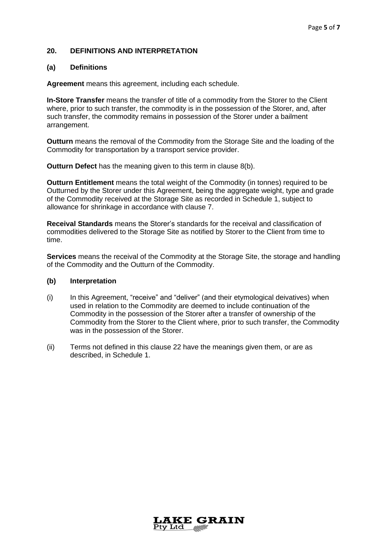### **20. DEFINITIONS AND INTERPRETATION**

### **(a) Definitions**

**Agreement** means this agreement, including each schedule.

**In-Store Transfer** means the transfer of title of a commodity from the Storer to the Client where, prior to such transfer, the commodity is in the possession of the Storer, and, after such transfer, the commodity remains in possession of the Storer under a bailment arrangement.

**Outturn** means the removal of the Commodity from the Storage Site and the loading of the Commodity for transportation by a transport service provider.

**Outturn Defect** has the meaning given to this term in clause 8(b).

**Outturn Entitlement** means the total weight of the Commodity (in tonnes) required to be Outturned by the Storer under this Agreement, being the aggregate weight, type and grade of the Commodity received at the Storage Site as recorded in Schedule 1, subject to allowance for shrinkage in accordance with clause 7.

**Receival Standards** means the Storer's standards for the receival and classification of commodities delivered to the Storage Site as notified by Storer to the Client from time to time.

**Services** means the receival of the Commodity at the Storage Site, the storage and handling of the Commodity and the Outturn of the Commodity.

#### **(b) Interpretation**

- (i) In this Agreement, "receive" and "deliver" (and their etymological deivatives) when used in relation to the Commodity are deemed to include continuation of the Commodity in the possession of the Storer after a transfer of ownership of the Commodity from the Storer to the Client where, prior to such transfer, the Commodity was in the possession of the Storer.
- (ii) Terms not defined in this clause 22 have the meanings given them, or are as described, in Schedule 1.

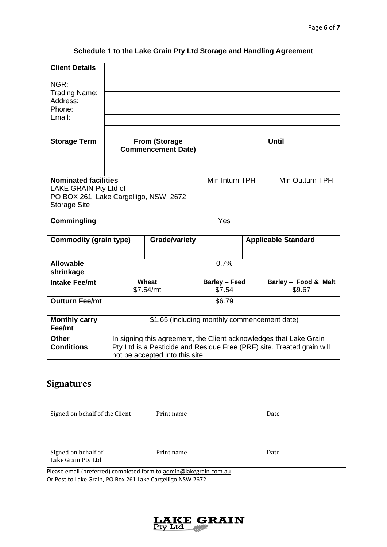| <b>Client Details</b>                                                                                                                                     |                                                                                                                                                                                |                    |  |                                |  |                                |
|-----------------------------------------------------------------------------------------------------------------------------------------------------------|--------------------------------------------------------------------------------------------------------------------------------------------------------------------------------|--------------------|--|--------------------------------|--|--------------------------------|
| NGR:                                                                                                                                                      |                                                                                                                                                                                |                    |  |                                |  |                                |
| Trading Name:<br>Address:                                                                                                                                 |                                                                                                                                                                                |                    |  |                                |  |                                |
| Phone:                                                                                                                                                    |                                                                                                                                                                                |                    |  |                                |  |                                |
| Email:                                                                                                                                                    |                                                                                                                                                                                |                    |  |                                |  |                                |
|                                                                                                                                                           |                                                                                                                                                                                |                    |  |                                |  |                                |
| <b>Storage Term</b>                                                                                                                                       | <b>From (Storage</b><br><b>Commencement Date)</b>                                                                                                                              |                    |  | <b>Until</b>                   |  |                                |
| <b>Nominated facilities</b><br>Min Inturn TPH<br>Min Outturn TPH<br>LAKE GRAIN Pty Ltd of<br>PO BOX 261 Lake Cargelligo, NSW, 2672<br><b>Storage Site</b> |                                                                                                                                                                                |                    |  |                                |  |                                |
| <b>Commingling</b>                                                                                                                                        | Yes                                                                                                                                                                            |                    |  |                                |  |                                |
| <b>Commodity (grain type)</b>                                                                                                                             |                                                                                                                                                                                | Grade/variety      |  |                                |  | <b>Applicable Standard</b>     |
| <b>Allowable</b><br>shrinkage                                                                                                                             | 0.7%                                                                                                                                                                           |                    |  |                                |  |                                |
| <b>Intake Fee/mt</b>                                                                                                                                      |                                                                                                                                                                                | Wheat<br>\$7.54/mt |  | <b>Barley - Feed</b><br>\$7.54 |  | Barley - Food & Malt<br>\$9.67 |
| <b>Outturn Fee/mt</b>                                                                                                                                     | \$6.79                                                                                                                                                                         |                    |  |                                |  |                                |
| <b>Monthly carry</b><br>Fee/mt                                                                                                                            | \$1.65 (including monthly commencement date)                                                                                                                                   |                    |  |                                |  |                                |
| <b>Other</b><br><b>Conditions</b>                                                                                                                         | In signing this agreement, the Client acknowledges that Lake Grain<br>Pty Ltd is a Pesticide and Residue Free (PRF) site. Treated grain will<br>not be accepted into this site |                    |  |                                |  |                                |
|                                                                                                                                                           |                                                                                                                                                                                |                    |  |                                |  |                                |

# **Schedule 1 to the Lake Grain Pty Ltd Storage and Handling Agreement**

## **Signatures**

| Signed on behalf of the Client            | Print name | Date |
|-------------------------------------------|------------|------|
|                                           |            |      |
| Signed on behalf of<br>Lake Grain Pty Ltd | Print name | Date |

Please email (preferred) completed form to [admin@lakegrain.com.au](mailto:admin@lakegrain.com.au) Or Post to Lake Grain, PO Box 261 Lake Cargelligo NSW 2672